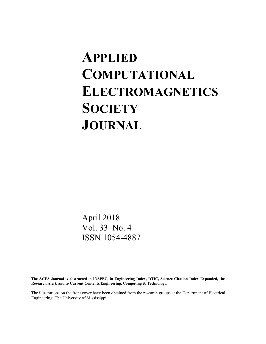# **APPLIED COMPUTATIONAL ELECTROMAGNETICS SOCIETY JOURNAL**

April 2018 Vol. 33 No. 4 ISSN 1054-4887

**The ACES Journal is abstracted in INSPEC, in Engineering Index, DTIC, Science Citation Index Expanded, the Research Alert, and to Current Contents/Engineering, Computing & Technology.**

The illustrations on the front cover have been obtained from the research groups at the Department of Electrical Engineering, The University of Mississippi.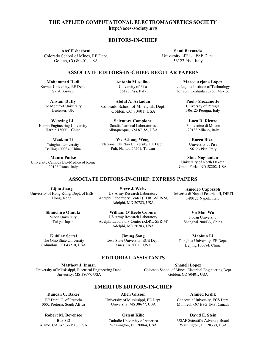### **THE APPLIED COMPUTATIONAL ELECTROMAGNETICS SOCIETY EDITORS-IN-CHIEF EDITORS-IN-CHIEF THE APPLIED COMPUTATIONAL ELECTROMAGNETICS SOCIETY http://aces-society.org http://aces-society.org THE APPLIED COMPUTATIONAL ELECTROMAGNETICS SOCIETY http://aces-society.org http://aces-society.org THE APPLIED COMPUTATIONAL ELECTROMAGNETICS SOCIETY http://aces-society.org/ THE APPLIED COMPUTATIONAL ELECTROMAGNETICS SOCIETY** THE APPLIED COMPUTATIONAL ELECTROMAGNETICS SOCIETY<br>
http://aces-society.org<br> **EDITORS-IN-CHIEF**<br>
Atef Elsherbeni Sami Barmada THE APPLIED COMPUTATIONAL ELECTROMAGNETICS SOCIETY<br>
(Coloring Coloring Library) of Tax and Engineering Dept.<br>
(Coloring Coloring Dept. USA Coloring Dept.<br>
ASSOCIATE EDITORS-IN-CHIEFE REGULAR PAPERS<br>
ASSOCIATE EDITORS-IN-CH **http://aces-society.org** THE APPLIED COMPUTATIONAL ELECTROMAGNETICS SOCIETY<br>
http://accs-society.org<br>
Lemannel Maria Control (Second of Nine, FR Dept.<br>
Control (Second of Nine, FR Dept.<br>
Control (Second of Nine, FR Dept.<br>
Control (Second of Nine, **Atef Elsherbeni http://aces-society.org MAL**<br>Alexandria **http://aces-society.org EDITORS-IN-CHIEF EDITORS-IN-CHIEF EDITORS-IN-CHIEF EDITORS-IN-CHIEF EDITORS-IN-CHIEF**  $\mathbf{L}(\mathbf{p})$  and  $\mathbf{C}(\mathbf{p})$  are  $\mathbf{C}(\mathbf{p})$ **Atef Elsherbeni** Expansion School of Mines **Atlaces-society.**  $\mathbf{C}$ **http://aces-society.org/EDITORS-IN-CHIEFATER**<br>THE APPLIED COMPUTATIONAL ELECTROMAGNETICS SOCIETY<br>http://aces-society.org Extensive constructions **TATIONAL ELECTROMAGNETICS SOCIETY**<br> **Attn: Sami Barmada**<br> **EDITORS-IN-CHIEF**<br> **Sami Barmada**<br> **University of Pesa, FSF1**<br> **Solid Theorem (Solid Team Computation of Dept.**<br> **COMPUTATION COMPUTATION**<br> **COMPUTATION COMPUT EXAMPLE EDITORS Example://aces-society.org** Colorado School of Mines, EE Dept. THE APPLIED COMPUTATIONAL ELECTROMAGNETICS SOCIETY<br>
http://accs-society.org<br>
EDITORS-IN-CHIEF<br>
Sami Baranda<br>
and School of Mines, EE Dept.<br>
and School of Mines, EE Dept.<br>
(Soliden, CO 80401, USA<br>
ASSOCLATE EDITORS-IN-CHIEF **EDITIONAL ELECTRO** ates society. **EXAMPLE ENERGED COLATIONAL ELECTROM**<br>http://aces-society.org Colorado School of Mines, EE Dept. THE APPLIED COMPUTATIONAL ELECTROMAGNETICS SOCIETY **Sami Barmada**<br> **Sami Barmada**<br> **Sami Barmada**<br> **Sami Barmada**<br> **Sami Barmada**<br> **Sami Barmada**<br> **Colden, CO 80401, USA**<br> **ASSOCIATE EDITORS-IN-CHIEF: REGULAR PAPERS**<br> **ASSOCIATE EDITORS-IN-CHIEF: REGULAR PAPERS**<br> **Iohanmed ATEGNAL ELECTROM.**  $\mathbf{E}$  and  $\mathbf{V}$  of  $\mathbf{E}$ http://aces-society.org  $G_{\rm F}$  and  $G_{\rm S}$  are  $G_{\rm F}$  and  $G_{\rm F}$ http://aces-society.org  $\overline{a}$ Golden, CO 80401, USA  $\mathbf{B}$ **TATIONAL ELECTROMAGNETICS SOCIETY**<br> **http://accs-society.org**<br> **EDITORS-IN-CHIEF**<br>
Sami Barmada<br>
University, of Pisa, ESE Dept.<br> **S6122 Pisa, ltaly**<br> **DITORS-IN-CHIEF: REGULAR PAPERS**<br>
Armain Musulm of Technology<br>
Univer THE APPLIED COMPUTATIONAL ELECTROMAGNETICS SOCIETY<br> **http://acces-society.org**<br>
EDITORS-IN-CHIEF<br>
Are Eksherbeni<br>
Golden, CO 80401, USA<br>
ASSOCIATE EDITORS-IN-CHIEF: REGULAR PAPERS<br>
ARE COLORIDORS-IN-CHIEF: REGULAR PAPERS<br> **EDITORS-IN-CHIEF**  $\mathbf{C}$ **JNAL ELECT ANAL ELECT** CIAILONAL ELECTRONI **Sami Barmada**<br> **Sami Barmada**<br> **Sami Barmada**<br> **Sami Barmada**<br> **Sami Barmada**<br>
Colden, CO 80401, USA<br>
Colden, CO 80401, USA<br>
Colden, CO 80401, USA<br> **SADCEATE EDITORS-IN-CHIEF: REGULAR PAPERS**<br> **ELECTROM ASSOCIATE CONTORS-ANAL ELECT** Colorado BBCHOM ttp://aces-society.org

#### $E$ **DITORS-IN-CHIEF** Golden, CO 80401, USA Colorado School of Mines, EE Dept. **EDITORS-IN-CHIEF**  $E$ **DITORS-IN-CHIEF EDITORS-IN-CHIEF Sami Barmada** Colorado School of Mines, EE Dept. Colorado School of Mines, EE Dept. EDITORS-IN-CHIEF Colorado School of Mines, EE Dept. DITORS-IN-CHIEF VITODE IN CHIEF **EDITORS-IN-CHIEF** ditade in *c*uter **URS-IN-CHI Sami Barmada** UPITURU IN CHILI **TORS-IN-CH** University of Pisara

Colorado School of Mines, EE Dept. University of Pisa, ESE Dept. University of Pisa, ESE Dept. **Atef Elsherbeni Atef Elsherbeni** Golden, CO 80401, USA Colorado School of Mines, EE Dept. Colorado School of EECO 80401, and EECO 80401, and EECO 80401, and EECO 80401, and EECO 80401, and EECO 80401, and EECO 80401, and EECO 80401, and EECO 80401, and EECO 80401, and EECO 80401, and EECO 80401, and EECO 80401, U.  $U_n$ ept. U EDITOI<br>
Colorado School of Mines, EE Dept.<br>
Golden, CO 80401, USA<br>
ASSOCIATE EDITORS-I<br>
Mohammed Hadi Antoi<br>
Kuwait University, EE Dept.<br>
Safat, Kuwait<br>
De Montfort University Colorado Scho<br>
Leicester, UK Golden,<br>
Wenxing University of Pisa, ESE Dept.  $\mathbf{H}$ **Atef Elsherbeni** Ater Eisnerbeni **EXECUTE:**<br>
Indies, EE Dept.<br>
Indies 19401, USA<br> **OCIATE EDITORS-IN-CHIEF<br>
Indies 19501 Antonio Musoline<br>
University of Pisa<br>
56126 Pisa Italy Example 18 Articles**<br>
International Control Control Control Control Control Control Control Control Control Control Control<br>
Dept. Antonio Musoline<br>
Dept. 56126 Pisa Italy nerbeni<br>
I Mines, EE Dept.<br>
19401, USA<br> **OCIATE EDITORS-IN-CHIEF<br>
ii Antonio Musoline<br>
Dept. University of Pisa<br>
56126 Pisa, Italy** EDITOI<br>
Atef Elsherbeni<br>
Colorado School of Mines, EE Dept.<br>
Golden, CO 80401, USA<br>
ASSOCIATE EDITORS-I<br>
Mohammed Hadi Anton<br>
Kuwait University, EE Dept.<br>
Safat, Kuwait<br>
Alistair Duffy<br>
De Montfort University Colorado Scho

**Sami Barmada Sami Barmada** University of Pisa, ESE Dept. University of Pisa, ESE Dept. 56122 Pisa, Italy 56122 Pisa, Italy **Sami Barmad**<br>
University of Pisa, Es<br>
56122 Pisa, Ita<br> **REGULAR PAPERS**<br>
Marco A<br>
La Laguna Inst<br>
Torreon, Coah<br> **Paolo Nuniversity Called Barmada Paolo Nuniversity (SA**<br>
EE Dept.<br>
Luca<br>
Paolo Muniversity I-06125 I<br>
EE De **Sami Barmada** Saini Darinada<br>University of Pisa, ESE Dept. 56122 Pisa, Italy

#### **Sami Barmada ASSOCIATE EDITORS-IN-CHIEF: REGULAR PAPERS** ASSOCIATE E University of Pisa, Estate 85-IN-CHIEF LTORS-IN-CHIEF: RE 56122 Pisa, Italy University of Pisa, ESE Dept. Uneversity of Pisa, ESE 85-IN-CHIE<mark>I</mark>  $\sum_{i=1}^{n}$ 5-118-CHIEF) UTODE IN CHIEF, DEP .<br>|<br>|<br>|<br>|<br>|<br>|<br>|<br>|<br>|<br>|<br>|<br>|<br>|<br>| **Sami Barmada** LORS-IN-CHIEF; REQ **SAMISSION** ASSOCIATE EDITORS-IN-CHIEF: REGULAR PAPERS **ASSOCIATE EDITORS-IN-CHIEF: REGULAR PAPERS ASSOCIATE EDITORS-IN-CHIEF: REGULAR PAPERS ASSOCIATE EDITORS-IN-CHIEF: REGULAR PAPERS**<br> **Antonio Musolino** Marco A  $1880$  Cm<sup>2</sup> **EDITOR-IN-CHIEF EXECUTE**

**Mohammed Hadi Mohammed Hadi Example 1988**<br>Kuwait University, EE Dept. Safat, Kuwait<br>
Safat, Kuwait<br>
Safat, September 2012<br>
Safat, Kuwait<br>
Safat, Kuwait<br>
Safat, Kuwait<br>
Safat, Kuwait<br>
Safat, Rusait **Mohammed Hadi Mohammed Hadi Mohammed Hadi Mohammed Hadi Mohammed Hadi** Kuwait Oliversity, EE Dept.<br>Safat, Kuwait Kuwait University, EE Dept. **Mohammed Hadi** Safat, Kuwait **Antonio Musolino**<br>
Marco Antonio Musolino<br>
University of Pisa<br>
La Laguna Inst **ASSOCIATE EXAMPLE EXAMPLE 2018**<br>
ASSOCIATE UNIVERSITY OF PISA<br>
ASSOCIATE EXAMPLE 2018<br>
ASSOCIATE UNIVERSITY OF PISA<br>
ASSOCIATE EXAMPLE 2018<br>
ASSOCIATE UNIVERSITY OF PISA<br>
Torreon, Coahu<br>
Torreon, Coahu<br>
Torreon, Coahu **Hadi**Safat, Kuwait

**Mohammed Hadi Alistair Duffy Alistair Duffy** Kustan Duny De Montfort University Leicester, UK **Antonio Musolino** Kuwait University, EE Dept. u Duny<br>at University De Montfort University<br>Leisaster LIV Alistair Duffy **Mohammed Hadi Alistair Duriy**  $\mathbf{W} \cdot \mathbf{W} \cdot \mathbf{E}$ Sustan Dul  $\mathbf{M} \cdot \mathbf{F} \cdot \mathbf{E}$ Saar Dun<sub>.</sub> Alistoir Duffy Saar Dun<br>Gert<sup>e</sup>ent Univer **Alistair Duffy Mohammed Hadi**  $E = \frac{K}{L}$  $\mathbf{H} \mathbf{y}$ Ionitort Unive<br>I **Alistair Duffy EXECUTE:**<br>
De Montfort University<br>
Leicester, UK<br> **Wenxing Li**<br>
Harbin Engineering University De Montion University<br>Leicester, UK **Mohammed Hadi MULLULULULULUS**<br>**Leicester HK** Leicester, UK istair Duffy<br>nntfort University<br>eicester, UK<br>'enxing Li i**stair Duffy**<br>nntfort University<br>eicester, UK De Montfort University<br>
Leisater LIV **Alistair Duffy** De Montfort University Leicester, UK De Montfort University<br>Leicester LIK Leicester, UK University of Pisa **Antonio Musolino** istair Duffy<br>ntfort University<br>eicester, UK atat, Kuwait<br>**istair Duffy**<br>intfort University<br>eicester, UK  $\mathbf{A}$ <sup>1</sup> $\mathbf{B}$ <sub>1</sub>  $\mathbf{C}$ <sub>1</sub>  $\mathbf{D}$ <sub>1</sub>  $\mathbf{C}$ <sub>1</sub> **De Montiort University**<br>Loiseater LIV **Alistair Duity**<br>De Montfort University

 $\mathbf{W}$ .  $\mathbf{H}$ **Wenxing Li** Weitking Engineering University<br>Harbin Engineering University Harbin 150001, China Wonying I: **Wenxing Li rbin** 150001, Cl **Alistair Duffy**  $\mathbf{w}$ enxing  $\mathbf{u}$  $\mathbf{W}_{\text{max}}$  is  $\mathbf{U}$  $\mathbf{v}$  enxing  $\mathbf{u}$  $\mathbf{W}$   $\mathbf{U}$   $\mathbf{U}$   $\mathbf{U}$   $\mathbf{U}$   $\mathbf{U}$   $\mathbf{U}$   $\mathbf{U}$   $\mathbf{U}$   $\mathbf{U}$   $\mathbf{U}$   $\mathbf{U}$   $\mathbf{U}$   $\mathbf{U}$   $\mathbf{U}$   $\mathbf{U}$   $\mathbf{U}$   $\mathbf{U}$   $\mathbf{U}$   $\mathbf{U}$   $\mathbf{U}$   $\mathbf{U}$   $\mathbf{U}$   $\mathbf{U}$   $\mathbf{$  $\frac{1}{2}$  $W_{\text{onwing}}$  I: Harbin Engineering University **Wenxing Li WellXing LI**  $U_{\text{H}}$   $1.50001$   $C_{\text{H}}$  $\sum_{i=1}^{\infty}$ **Wenxing Li**<br>India Ferdinandia Historic **Wenxing Li Wenting University**<br>
urbin 150001, China  $\overline{\mathbf{u}}$  decomposition Eligineering Un<br>bin 150001 *C*h  $H<sub>4</sub>$  Eq. (1900),  $H<sub>4</sub>$  Eq. (1910) **Harbin Engineering University**<br> **Harbin 150001**, China Harbin Engineering University Leicester, UK Golden, CO 80401,<br> **Wenxing Li**<br>
in Engineering University<br>
Harbin 150001, China<br>
Maokun Li<br>
Maokun Li<br>
Maokun Li<br>
Maokun Li<br>
Maokun Li<br>
Maokun Li<br>
Maokun Li<br>
Maokun Li<br>
Maokun Li<br>
Maokun Li<br>
Maokun Li<br>
Maoku Wenxing Li **Antonio Musolino Wenxing Li**<br>
University of Pisa, Italy Harbin Engineering University<br>Harbin 150001, China Harbin 150001, China **Wenxing Li**<br>Engineering Unive<br>bin 150001, China Harbin 150001, China **Engineering University**<br>
bin 150001, China Harbin Engineering Officersity Harbin 150001, China Harbin Engineering University **Wenxing Abdul Arkadan** Harbin 150001, China De Montfort University<br>
Leicester, UK Golden, CO 80401,<br>
Wenxing Li<br>
in Engineering University<br>
Harbin 150001, China<br>
Merced Albuquerque, NM 8718<br>
Merced Albuquerque, NM 8718  $M_{\text{H}}$  and  $M_{\text{H}}$   $\sim$  0.001,  $\sim$  0.000  $\frac{1}{2}$  we is a single possible possible. Addit 150001, China

**Maokun Li Traukun Engineering University** 1 singhua Oniversity<br>Beijing 100084, China Beijing 100084, China **Maokun** Li  $\frac{1 \text{ singular}}{2 \cdot 2 \cdot 2 \cdot 4}$ Maokun Li **Example 1**<br>
Tsinghua University  $\text{H}$  isingnua University **Ma** 199991, e **Maokun Li** Harbing LOOO Latin Engineering University Deijing 10000<del>1</del>, China I singnua University<br>Beijing 100084, China Harbin Engineering University Harbin Engineering University eijing 100084, China Harbin Engineering University Maokun Li mgnua Univers<br>ing 10008*4* Cl  $\epsilon$ ijing 100001, China ngnua Omvers<br>ing 100084 Cl  $\frac{1}{2}$  University  $\frac{1}{2}$ **Salvatore Campioner Comma 1** singhua University<br>Beijing 100084, China I singhua University<br>Beijing 100084, China Tanghua University<br>Reijing 100084, China ng 100084, China Harbin 150001, China **Manua Univers**<br>http://www.com Mookun I j gnua Universit<br>2010094 Chi ajing Toooo<del>i</del>, Cilina **Maokun Li**<br>Tsinghua University Tsinghua University<br>:eiiing 100084 Chin Beijing 100084, China **Salvator Children**<br>Reijing 100084 China Sandia National Laboratories **Salvatore Campione**

**Mauro Parise Nauro Parise**<br>ty Campus Bio-Medico of Rome y Campus Bio-Medico of Rome<br>00128 Rome Italy ASSOCIATE EXPRESS PAPER **ASSOCIATE** EDITORS-IN-CHIEF EDITORS-IN-CHIEF EDITORS-IN-CHIEF EDITORS-IN-CHIEF EDITORS-IN-CHIEF EDITORS-IN-CHIEF EDITORS-IN-CHIEF EDITORS-IN-CHIEF EDITORS-IN-CHIEF EDITORS-IN-CHIEF EDITORS-IN-CHIEF  $\frac{60120 \text{ R0me}}{400}$ **Salvatore Campioners** Sandia National Laboratories<br>
00128 Rome, Italy  $\frac{10000000000000000000000000}{\text{m}}$ **Harbin Engineering Engineering University Example 1500 Parise**<br>ty Campus Bio-Medico Mauro Parise Tsinghua University **Mauro Parise**<br>China Pita Madiso 100084 **Triangle University**<br>Campus Bio-Medico o Mauro Parise 10-Medico **Mauro Parise**<br>University Campus Bio-Medico of Rome , <u>. . . . . . . . . .</u> . . . ASSOCIATE EDITORS-IN-CHIEF EDITORS-IN-CHIEF EDITORS-IN-CHIEF EDITORS-IN-CHIEF EDITORS-IN-CHIEF EDITORS-IN-CHIEF EDITORS-IN-CHIEF EDITORS-IN-CHIEF EDITORS-IN-CHIEF EDITORS-IN-CHIEF EDITORS-IN-CHIEF EDITORS-IN-CHIEF EDITORS-**Maokun Li** ASSOCIATE EDITORS-IN-CHIEF EDITORS-IN-CHIEF EDITORS-IN-CHIEF EDITORS-IN-CHIEF EDITORS-IN-CHIEF EDITORS-IN-CHIEF EDITORS-IN-CHIEF EDITORS-IN-CHIEF EDITORS-IN-CHIEF EDITORS-IN-CHIEF EDITORS-IN-CHIEF EDITORS-IN-CHIEF EDITORS-ASSOCIATE EXPRESS PAPER **ASSOCIATE** EXPRESS PAPER IN THE SERVICE STATE OF SERVICE SERVICE SERVICE SERVICE SERVICE SERVICE SERVICE SERVICE SERVICE SERVICE SERVICE SERVICE SERVICE SERVICE SERVICE SERVICE SERVICE SERVICE SERV

Beijing 100084, China

Sandia National Laboratories

Albuquerque, NM 87185, USA

56122 Pisa, Italy **ASSOCIATE EXECUTE:** The CHIVESITY OF T ISA<br>
Safat 56126 Pisa, Italy Torreon, Coah **Antonio Musolino Antonio Musolino Mohammed Hadi** 56122 Pisa, Italy 20 Harry, EE Dept. University of Pisa La Laguna Institute Contract Contract Contract Contract Contract Contract Contract Contract Contract Contract Contract Contract Contract Contract Contract Contract Contract Contract Co y, EE Dept. **ASSOCIATE EXECUTE EDITORS:** CONVERSITY OF PISA CONDUCTS EXECUTE EXECUTE EXECUTE TO DEN<br>ASSOCIATE EXECUTIVE EXECUTIVE EXECUTIVE EXECUTIVE TO THE SALE OF SALE SERVICE SERVICE SERVICE SERVICE SERVICE S **Antonio Musolino Antonio Musolino Antonio Musolino** ntonio Musolin $\overline{\phantom{a}}$ ASSOCIATE EDITORS-IN-CHIEF EDITORS-IN-CHIEF EDITORS-IN-CHIEF EDITORS-IN-CHIEF EDITORS-IN-CHIEF EDITORS-IN-CHIEF EDITORS-IN-CHIEF EDITORS-IN-CHIEF EDITORS-IN-CHIEF EDITORS-IN-CHIEF EDITORS-IN-CHIEF EDITORS-IN-CHIEF EDITORSed Hadi **Marco Antonio Musolino** Marco Article and Marco Article and Marco Article and Marco Article and Marco A **ASSOCIATE EDITORS-IN-CHIPFSITY OF PISA**<br> **ASSOCIATE EDITORS-IN-CHIEF EDITORS-IN-CHIEF**<br> **A** S6126 Pisa Italy **Musolino** Torreon Coal  $\cdots$ and Soliversity of Pisa, Italy Torreon, Coahu<br> **ASSOCIATE EXAMPLE 2018** EXAMPLE ENTINES<br>
ISLAMPLE ENTINES - IN-CHIEF<br>
International Musoline<br>
Dept.<br>
International Musoline<br>
S6126 Pisa, Italy Faines, EE Dept.<br>
19401, USA<br> **OCIATE EDITORS-IN-CHIEF**<br> **II**<br> **II**<br> **II**<br> **III**<br> **III**<br> **III**<br> **III**<br> **III**<br> **III**<br> **III**<br> **III**<br> **III**<br> **III**<br> **III**<br> **III**<br> **III**<br> **III**<br> **IIII**<br> **IIII**<br> **IIII**<br> **IIIII**<br> **IIIII**<br> **IIIIII** FMines, EE Dept.<br>
19401, USA<br> **OCIATE EDITORS-IN-CHIEF**<br> **ii**<br> **Antonio Musoline**<br>
University of Pisa<br>
56126 Pisa, Italy 56126 Pisa, Italy **Antonio Musolino**

**Antonio Musolino** University of Pisa **Abdul A. Arkadan Abdul A. Arkadan Alistair Duffy Marco Arjona López** University of Pisa School of Mines, EE Dept.<br>Colorado School of Mines, EE Dept. **Golden**, CO 80401, USA School of Mines,  $EE$  Dept. 56126 Pisa, Italy **Antonio Musolino Antonio Musolino** DGUI A. Arkaga University of Pisa buul A. Afkau University of Pisa JUULA. AFKAU. university of Pisage and Pisage and Pisage and the Pisage of Pisage and Pisage and Pisage and Pisage and Pisag<br>Pisage and Pisage and Pisage and Pisage and Pisage and Pisage and Pisage and Pisage and Pisage and Pisage and 561 A. Arkau<br>1.1. . .1. . CM. **ADUULA, AFKAUAH** De Montfort University<br>De Montfort University<br>Leicester, UK (Golden CO 80401 USA 1-06125 **Alistair Duffy**<br>
De Montfort University<br>
Leicester, UK<br>
Colorado School of Mines, EE Dept<br>
Leicester, UK<br> **Wenxing Li**<br>
Harbin Engineering University<br>
Harbin 150001, China **Musoling 100084**, China **Musical Pisassing Music 120081 12008 12008 12008 12008 12008 12008 12008 12008 12008 12008 12008 12008 12008 12008 12008 12008 12008 12008 12008 12008 12008 12008 12008 12008 12008 12008 12008 12008 12008 12008 12008 12008 12008 12008 12008 1200 Abdul A. Arkadan**<br>
ado School of Mines, EE Dept.<br>
Golden, CO 80401, USA<br> **Salvatore Campione**<br> **EXECUTE:** Luca Di Rienzo<br>
Bandia National Laboratories<br>
Politecnico di Milano<br>
Diuerque, NM 87185, USA<br> **Politecnico di Milan** Colorado School of Mines, EE Dept.<br>Golden, CO 80401, USA  $U(x, y, z)$ 56126 Pisa, Italy  $Solution, 88, 60, 60, 60, 70, 80, 1$ Examples and the California Control of Mines, EE Dept.<br> **Abdul A. Arkadan**<br> **Abdul A. Arkadan**<br> **Paolo Mezzanotte**<br>
University of Perugia<br>
Golden, CO 80401, USA<br> **Salvatore Campione**<br> **Examples** Luca Di Rienzo<br>
Luca Di Rie  $\begin{bmatrix}\n\text{Output A. Arkadan} \\
\text{Paolo}\n\end{bmatrix}$ 56126 Pisa, Italy Torreon, Coahuila 27266, Mex<br> **Abdul A. Arkadan** Paolo Mezzanotte<br>
orado School of Mines, EE Dept. University of Perugia<br>
Golden, CO 80401, USA I-06125 Perugia, Italy<br> **Salvatore Campione** Luca Di Rienzo<br> 56126 Pisa, Italy Torreon, Coahuila 27266, Mex<br> **Abdul A. Arkadan** Paolo Mezzanotte<br>
Drawestly of Perugia<br>
Golden, CO 80401, USA I-06125 Perugia, Italy<br> **Salvatore Campione Luca Di Rienzo**<br>
Sandia National Laboratories Pol **Colorado School of Mines, Eventuary Colorado School of Mines, Eventuary Colorado School of Mines, Eventuary Colorado School of Mines, Example 19 Salvatore Campione<br>
University Sandia National Laborator<br>
University Nationa** Abdul A. Arkadan<br>
iversity<br>
Colorado School of Mines, EE L<br>
Golden, CO 80401, USA<br>
Li<br>
Li<br>
Salvatore Campione<br>
University<br>
Sandia National Laboratories<br>
China<br>
Albuquerque, NM 87185, USA  $\frac{66}{26}$  Po 101 Abdul A. Arkadan<br>Colorado School of Mines, EE Dept. Frequency defined A. Arkadan<br>
Versity Colorado School of Mines, EE Dept.<br>
K Golden, CO 80401, USA<br>
i Salvatore Campione<br>
University Sandia National Laboratories **ASSOCIATE ARTICLES**<br>
And Alistair Duffy<br>
Alistair Duffy<br>
Alistair Duffy<br>
Alistair Duffy **561** Pisa, Italy  $G_{\rm eff}$   $\sim$   $G_{\rm eff}$ Viniversity of Pisa<br>
University of Pisa<br>
56126 Pisa, Italy<br>
56126 Pisa, Italy<br> **Abdul A. Arkadan**<br> **Abdul A. Arkadan**<br> **Abdul A. Arkadan**<br> **Paolo Mezzanotte**<br>
University of Perugia<br>
Golden, CO 80401, USA<br> **Paolo Mezzanotte** University of Pisa University of Pisa University of Pisa **AntonioMusolino** University of Pisa Safat, Kuwait University of Pisa **Antonio Musolino** University of Pisa<br>
56126 Pisa, Italy<br>
7 orreon, Coahuila 27266, Mex<br>
Abdul A. Arkadan<br>
Paolo Mezzanotte<br>
Torreon, Coahuila 27266, Mex<br>
Abdul A. Arkadan<br>
Paolo Mezzanotte<br>
University of Perugia<br>
Golden, CO 80401, USA<br> **Sal Colorado School of Mines, Every Hustino**<br>
University Colorado School of Mines, E<br>
University Salvatore Campione<br>
University Sandia National Laborator<br>
University National Chi Nan University, E<br>
University National Chi Nan Marquette University, Goahuila 27266, Me<br>
Abdul A. Arkadan Paolo Mezzanotte<br>
Ioniversity of Perugia<br>
Golden, CO 80401, USA I-06125 Perugia, Italy<br>
Salvatore Campione Luca Di Rienzo<br>
Sandia National Laboratories Politecnico **Alistair Duffy**<br>
De Montfort University<br>
Leicester, UK<br>
Leicester, UK<br>
Solden, CO 80401, US<br> **Wenxing Li**<br>
Solden, CO 80401, US<br> **Wenxing Li**<br>
Salvatore Campione<br>
Harbin 150001, China<br>
Albuquerque, NM 87185, U<br> **Maokun Li Alistair Duffy**<br>
Montfort University<br>
Montfort University<br>
Leicester, UK<br>
Colorado School of Mines, EE Dept.<br>
University of Perugia<br>
Leicester, UK<br>
Golden, CO 80401, USA<br>
Leicester, UK<br>
1-06125 Perugia, Italy<br>
1-06125 Per **Abdul A. Arkadan Colorado School of Mines, EE D**<br>
EE DIK Colorado School of Mines, EE DIK<br>
Golden, CO 80401, USA<br>
Li Salvatore Campione<br>
University Sandia National Laboratories<br>
China Albuquerque, NM 87185, USA **Abdul Arkadan** EE Dept.

**Abdul A. Arkadan Salvatore Campione**<br>Sandia Metianal Laboratories Sandra National Laboratories<br>Albuquerque, NM 87185, USA Sarvatore Campione **Salvatore Campione**<br>Condie Metional Leberatories buquerque, NM 8/185, USA **Abdul A. Arkadan** Salvatore Campione Ganula Ivanonal Ladoratories<br>Iluquestione - NM 97195, US Salvatore Campione **Salvatore Campione Salvatore Campione Salvatore Campione Abdul Campion**<br>Ali Matemat Laborati Sanula National Laboratories<br>Albuquerque, NM 97195, LICA  $\omega$ golden, EVIVI 07100, OSA Sandra National Laboratories<br>Albuquerque, NM 87185, USA **Salvatore Campione**<br> **Abdul Arkadan Arkadan** Sandia National Eaboratories<br>Albuquerque, NM 87185, USA  $\mu$ Ibuquerque, NM 8/185, US $\mu$ **Alistair Duffy Salvatore Campione**<br>Sendia Matianal Laboratories Albuquerque, NM 87185, USA  $M_{\text{H}}$   $\approx$   $\frac{M_{\text{H}}}{M_{\text{H}}}$   $\approx$   $\frac{M_{\text{H}}} {M_{\text{H}}}$   $\approx$   $\frac{M_{\text{H}}} {M_{\text{H}}}$   $\approx$   $\frac{M_{\text{H}}} {M_{\text{H}}}$ Millet Sandia National Laboratories<br>Ibuquerque, NM 87185, USA Sandia National Laboratories<br>Albuquerque, NM 87185, USA **Marco Arjona López Salvatore Campione Salvatore Campione** Salvatore Campione Sandia National Laboratories **Abdul Arkadan** De Montfort University Salvatore Campione Sandia National Laboratories<br>Albuquerque, NM 87185, USA **Salvatore Campione**  $\mu$ buquerque, NM 8/185, USA **Salvatore Campione** Sarvator Campione<br>Sandia National Laboratories anuia ivational Laboratorics<br>Localization NIM 97105 TICA andia National Laboratories<br>buquerque, NM 87185, USA **Salvatore Campione** University of Perugia **Paolo Mezzanotte** Salvatore Campione

Wei-Chung Weng **Wel-Chung Weng**<br>National Chi Nan University, EE Dept.<br>Puli Nontou 54561 Toiwan National Cin Nan Oniversity, EE Dep<br>Puli, Nantou 54561, Taiwan **Weither Change Change**  $\sum_{i=1}^{\infty}$  National University, EE 1 Pun, Namou 34301, Taiwan  $R_{\text{full}}$  Monton  $54561$  Toiman **Wei-Chung Weng Wei-Chung Weng** Colorado School of Mines, EE Dept.<br>
Golden, CO 80401, USA<br>
Salvatore Campione<br>
Sandia National Laboratories<br>
Albuquerque, NM 87185, USA<br> **Wei-Chung Weng**<br>
National Chi Nan University, EE Dept.<br>
Puli, Nantou 54561, Taiwan<br> **Wei-Chung Weng** Sandia California California Laboratories<br>Puli Nantou 54561 Taiwan **Puli, Nantou 54561, Taiwan** National University of Perugia<br>
Salvatore Campione<br>
Sandia National Laboratories<br>
Albuquerque, NM 87185, USA<br> **Paolo Mei-Chung Weng**<br> **Paolo Mexico Mezzo**<br>
National Chi Nan University, EE Dept.<br>
Puli, Nantou 54561, Taiwan<br> Wei-Chung Weng<br>National Chi Nan University, EE Dept. Puli, Nantou 54561, Taiwan National Chinai Oniversity, EE D<sub>1</sub><br>Puli, Nantou 54561, Taiwan Sandia National Laboratories<br>Albuquerque, NM 87185, USA<br>Wei-Chung Weng<br>tional Chi Nan University, EE De<br>Puli, Nantou 54561, Taiwan Wei-Chung Weng ung Weng Wei-Chung Weng Wei-Chung Weng **Salvator Children**<br>Salvatore Campione Campione Campione Campione Reserve Lines **Salvatories**<br>
Sandia Chi Nandia University, EE Dept.<br>
Puli Nantou 54561 Taiwan an Cili National Chiversity, LL D<br>buli Nonton 54561 Toiwon Puli, Nantou 54561, Taiwan **MezzanotteWei-Chung Weng**<br>National Chi Nan University, EE Dept. onal Um Nati University, EE 1  $\text{I}$ un, Nantou 94901, Tarwan  $M_{\text{max}}$  Chinan University, EE Dept. National Chi Nan University, EE Dept.<br>Puli, Nantou 54561, Taiwan **Wei-Chung Weng**<br>National Chi Nan University, EE Dept.<br>Puli Nonteu 54561 Taiwan Puli, Nantou 54561, Taiwan  $Wei-Chung Weng$ **Salvatore Chung Weng**  $\sum_{i=1}^{\infty}$  National University, e.g. D Pull, Nahiou 34301, Talwah **Sandia National Laboratories**<br>
Salvatories Laboratories Puli Nantou 54561 Taiwan Wei-Chung Weng Politecnico di Milano **Luca Di Rienzo**

**Marco Arjona López**<br> **Marco Arjona López Example 3 Example 3 Example 3 Example 3 Example 3 Example 3 Example 3 Example 3 Example 3 Example 3 Example 3 Example 3 Example 3 Example 3 Example 3 Example 3 Example 3 Example 3 Examp** Torreon, Coahuila 27266, Mexico **ASSOCIATE EDITORS-IN-CHIEF: REGULAR PAPERS ASSOCIATE EDITORS-IN-CHIEF: REGULAR PAPERS** aguna institute of Technolo<br>reen. Coebuile 27266 Mey Torreon, Coahuila 27266, Mexico Torreon, Coahuila 27266, Mexico La Laguna Institute of Technology Torreon, Coahuna  $27200$ , Mexico

**Marco Arjona López** Paolo Mezzanotte Dept. University of Perugia I-06125 Perugia, Italy **Paolo Mezzanotte Marco Arjona López** Paolo Mezzanotte  $\mathbf{L}$  Laguna Institute of Technology T AOIO MEZZAHUILE  $\mathbf{L} \mathbf{L}$ T AOIO MEZZAHOLLE Daola Mezzanatte **Tradio Mezzanotte**<br>University of Perugia<br>Local 25 Demain Italia **Paolo Mezzanotte Marco Aristotte** UIIIVEISILY OF FELL LAGUNA INSTITUTE OF THE TECHNOLOGY OF THE TECHNOLOGY OF THE TECHNOLOGY OF THE TECHNOLOGY OF THE TECHNOLOGY OF THE TECHNOLOGY OF THE TECHNOLOGY OF THE TECHNOLOGY OF THE TECHNOLOGY OF THE TECHNOLOGY OF T 1-00123 Ferugia, Italy  $\mathbf{c}$ **Paolo Mezzanotte Particle Meridia**<br>**Paolo Meridia**<br>**Paolo Meridia**<br>**Paolo Meridia Marco Arjona López** University of Perugia **Paolo Mezzanotte**<br>University of Perugia<br>I-06125 Perugia, Italy<br>**Luca Di Rienzo Antique Conversity Of** I-06125 Perugia, Italy **Participal Conversity Of Fernand Halves**<br>**LO6125** Perugia Halv I-06125 Perugia, Italy Paolo Mezzanotte I add Mezzanotte<br>University of Perugia **Paolo Mezzanotte**I-06125 Perugia, Italy **Paolo Mezzanotte**<br>University of Perugia<br>I-06125 Perugia, Italy  $U_0$ 6125 Pe I-06125 Perugia, Italy **Paolo Mezzanotte Paolo Mezzanotte** University of Ferdingia<br>OC 125 Demois Rubi I-06125 Perugia, Italy University of 1 engine<br>L06125 Perugia - Italy  $\sum_{i=1}^{n}$ 

Luca Di Rienzo Luca Di Rienzo<br>Politecnico di Milano Ponteented di Milano<br>20133 Milano, Italy **Luca Di Rienzo** Politecnico di Milano Luca Di Rienzo LUCA DI KIENZO Politecnico di Milano **Euca Di Kienzo**<br>Politecnico di Milano POILCORD OF PERSON I-06125 Perugia, Italy **Luca Di Rienzo** I-06125 Perugia, Italy **Luca Di Rienzo** Marquette University, ECE Dept. Luca Di Rienzo <sup>2</sup>Olitecnico di Milano<br>20122 Milano Italy  $20133$  Milano, Italy 20133 Milano, Italy Milwaukee, WI 53201, USA **Luca Britannica**<br> **Politecnico di Milano**<br> **Rocco Rizzo**<br>
University of Pisa **Luca Di Rienzo Luca Di Rienzo**20133 Milano, Italy

**Luca Di Rienzo Rocco Rizzo** Pept. University of Pisa  $56123$  Pisa, Italy **Rocco Rizzo Luca Di Rienzo Rocco Rizzo** Politecnico di Milano **2013** KOCCO KIZZO Politecnico di Milano **2013** ROCCO KIZZO  $\mathbf{p}_1, \ldots, \mathbf{p}_{n-1}$ **20133 MILLO**<br>2013 Milano, Italia **Luca Bizzo** University of Pisa Rocco Rizzo **Proces Rizzo**<br>University of Pisa  $56123$  Pisa, Italy 20133 Milano, Italy<br>20133 Milano, Italy<br>Rocco Rizzo<br>University of Pisa<br>56123 Pisa, Italy University of Pisa Sandia National Laboratories 20133 Milano, It<br> **Rocco Rizzo**<br>
University of Pi<br>
56123 Pisa, Ital 20133 Milano, Italy **NOCO NIZZO**<br>University of Pisa **Rocco Riversity Of Pis**<br>56122 Digo Holy 56123 Pisa, Italy 56123 Pisa, Italy Albuquerque, NM 87185, USA 56123 Pisa, Italy University of Pisa 56123 Pisa, Italy

**Paolo Mezzanotte**

**Luca Di Rienzo**

**Rockania** Sinia Isognaman<br>
ersity of North Da EDITORS: ITALY OF PISAL PRODUCTS OF PISAL PRODUCTS PAPERSON CONTROL PRODUCTS PAPERSON CONTROL PRODUCTS PAPERS, **ADD** 58202, USA ima Noghania **Rocco Rizzo** university of Pi **Sima Noghaniar**<br>Versity of North De Rocco Rizzo<br>University of Pisa<br>56123 Pisa, Italy<br>Sima Noghanian<br>University of North Dakota **Grand Forks, ND 58202, USA** Sima Noghanian **Luca Di Rienzo** Sima Noghaniar Sima Noghanian ima Noghanian ma Noghanian University of Pisar na inognanian **Luca Rocco Riversity of North Dal**<br>
1 Forks, ND 58202, **ASSOCIATE EDITORS-IN-CHIEF: EXPRESS PAPERS ASSOCIATE EDITORS-IN-CHIEF: EXPRESS PAPERS** 51ma Noghania 5ima Noghanian  $\mathcal{L}_{\text{max}}$ **ASSOCIATE EDITORS-IN-CHIEF: EXPRESS PAPERS** Assumption of the contract of the contract of the contract of the contract of the contract of the contract of the contract of the contract of the contract of the contract of the contract of the contract of the contract of na Noghanian  $\overline{56}$  Pisa, Italy ASSOCIATE EDITORS-IN-CHIEF EDITORS-IN-CHIEF EDITORS-IN-CHIEF EDITORS-IN-CHIEF EDITORS-IN-CHIEF EDITORS-IN-CHIEF EDITORS-IN-CHIEF EDITORS-IN-CHIEF EDITORS-IN-CHIEF EDITORS-IN-CHIEF EDITORS-IN-CHIEF EDITORS-IN-CHIEF EDITORS-

> Amedeo Capozzon<br>Univerita di Napoli Federico II, DIETI **EXECUTE:** I-80125 Napoli, Italy

> Univerita di Napoli Federico II, DIETI **Amedeo Capozzoli**

 $\mathbf{I}$  di Napoli Federico II, die Tederico II, die Tederico II, die Tederico II, die Tederico II, die Tederico II, die Tederico II, die Tederico II, die Tederico II, die Tederico II, die Tederico II, die Tederico II, di

 $50125$  Napon, na

r i vapoli Teacric<br>0125 Nanoli Ita  $\frac{1}{2}$   $\frac{1}{2}$   $\frac{1}{2}$   $\frac{1}{2}$   $\frac{1}{2}$   $\frac{1}{2}$   $\frac{1}{2}$   $\frac{1}{2}$   $\frac{1}{2}$   $\frac{1}{2}$   $\frac{1}{2}$   $\frac{1}{2}$   $\frac{1}{2}$   $\frac{1}{2}$   $\frac{1}{2}$   $\frac{1}{2}$   $\frac{1}{2}$   $\frac{1}{2}$   $\frac{1}{2}$   $\frac{1}{2}$   $\frac{1}{2}$   $\frac{1}{2}$ 

*Y Y*<sub>**Ma**</sub> *W*<sub>*W*</sub> *W*<sub>*W*</sub>

Fudan University

*Y*  $\frac{1}{2}$   $\frac{1}{2}$   $\frac{1}{2}$   $\frac{1}{2}$   $\frac{1}{2}$   $\frac{1}{2}$   $\frac{1}{2}$   $\frac{1}{2}$   $\frac{1}{2}$   $\frac{1}{2}$   $\frac{1}{2}$   $\frac{1}{2}$   $\frac{1}{2}$   $\frac{1}{2}$   $\frac{1}{2}$   $\frac{1}{2}$   $\frac{1}{2}$   $\frac{1}{2}$   $\frac{1}{2}$   $\frac{1}{2}$   $\frac{1}{2}$   $\frac{1}{$ 

I-80125 Napoleon provided a series of the series of the series of the series of the series of the series of the series of the series of the series of the series of the series of the series of the series of the series of th

Univerita di Napoli Federico II, DIETI

**Yu Mao Wu**

**Amedeo Capozzoli**

I-80125 Napoli, Italy

#### **Lijun Jiang**  $1000$ C $11$ **Steve J. Weiss**  $10N<sub>2</sub>$  and  $10N<sub>2</sub>$ **Amedeo Capozzoli ASSOCIATE EDITORS-IN-CHIEF: EXPRESS PAPERS** IATE EDITORS-IN-CHIEF  $\mathbf{S}$ ASSOCIATE EDITORS-IN-CHIEF: EXPRESS PAPERS Beijing 100084, China  $\overline{\mathbf{B}}$ **Lijun Jiang Steve J. Weiss Amedeo Capozzoli Lijun Jiang Steve J. Weiss Amedeo Capozzoli Lijun Jiang -IN-CHIEF: EXPRESS PAPERS ASSOCIATE EDITORS-IN-CHIEF: EXPRESS PAPERS ASSOCIATE EDITORS-IN-CHIEF: EXPRESS PAPERS Lijun Jiang ASSOCIATE EDITORS-IN-CHIEF: EXPRESS PAPERS Amedeo Capozzoli Mauro Parise**<br>
Inversity of Norm<br>
University of Norm<br>
128 Rome, Italy<br> **ASSOCIATE EDITORS-IN-CHIEF: EXPRESS PAPERS**<br>
Lijun Jiang<br>
Steve J. Weiss Amedeo Cap<br>
Hong Kong, Dept. of EEE US Army Research Laboratory Univerita di Sima Noghan<br>
mpus Bio-Medico of Rome<br>
28 Rome, Italy<br> **ASSOCIATE EDITORS-IN-CHIEF: EXPRESS PAPERS**<br>
ijun Jiang<br>
Steve J. Weiss Amedeo Cape<br>
Line Kong, Dept. of EEE US Army Besearch Laboratory<br>
Linearity di Manoli Eccle Sima Noghan<br>
mpus Bio-Medico of Rome<br>
28 Rome, Italy<br> **ASSOCIATE EDITORS-IN-CHIEF: EXPRESS PAPERS**<br>
ijun Jiang<br>
Steve J. Weiss Amedeo Cape<br>
Mong Kong, Dept. of FEF. US Army Research Laboratory University di Napoli Fede ASSOCIATE EDITORS-IN-CHIE **Maokun Li Rocco Rizzo** <mark>(S-IN-CHI</mark>E) **Sima Noghanian** ASSUC OUT28 ROMe, Italy<br>ASSOCIATE EDITORS-IN-CHIEF: EXPRESS PAPERS **Stamatios Amanatiadis** University of Hong Kong, Dept. of EEE  $U$  are  $U$  are  $V$  are  $U$  are  $U$  are  $U$  are  $U$ Univerita di Napoli Federico II, DIETI Kong, Dept. of Ing 100084, China Fun, Nahlod 34361, Talwah<br>
Tun, Nahlod 34361, Talwah<br>
Mauro Parise Sima Nogha<br>
University of Nor<br>
University of Nor<br>
University of Nor<br>
Grand Forks, ND 5<br>
ASSOCIATE EDITORS-IN-CHIEF: EXPRESS PAPERS<br>
Lijun Puli, Nantou 54561, Taiwan 56123 Pisa, I<br>
e Sima Noghai<br>
dico of Rome University of North<br>
University of North<br>
Grand Forks, ND 58<br>
SSOCIATE EDITORS-IN-CHIEF: EXPRESS PAPERS 100084, China Puli, Nantou 54561, Taiwan 56123 Pisa, I<br> **Iauro Parise Sima Nogha**<br>
mpus Bio-Medico of Rome University of North Grand Forks, ND 58<br> **ASSOCIATE EDITORS-IN-CHIEF: EXPRESS PAPERS**<br>
iiun Jiang Steve J. Weiss Ame ASSUCIA I **Steve J. Weiss**  $1$ UKS-IIN-CHIEF; E $\lambda$ **Amedeo Capozzoli** S FAFERS **Lijun Jiang** University of Hong Kong, Dept. of EEE **Steve J. Weiss**  $1$ UN $\sigma$ - $1$ I $\sim$ CHHEF, E $\pi$ **Amedeo Capozzoli** ASSOCIATE EDITORS-IN-CHIEF: EXPRESS PAPERS Beijing 100084, China 56123 Pisa, Italy Tsinghua University  $A$ 550 university of Pisar Company of Pisar Pisar Pisar Pisar Pisar Pisar Pisar Pisar Pisar Pisar Pisar Pisar Pisar P<br>Pisar Pisar Pisar Pisar Pisar Pisar Pisar Pisar Pisar Pisar Pisar Pisar Pisar Pisar Pisar Pisar Pisar Pisar Pi 55-11<mark>9-</mark>CHIE

**Lijun Jiang**<br>University of Hong Kong, Dept. of EEE  $\frac{1}{2}$  Hong Kong, Dept. of EEE Lijun Jiang Finversity of Hong Rong, Dept. of EEE University of Hong Kong, Dept. of EEE US Army Research 1<br>Hong Kong, Adelphi I aboratory Center  $\mathcal{L}$ ,  $\mathcal{L}$ **Shinichiro Ohnuki**  $U(x) = \frac{1}{2\pi} \int_{-\infty}^{\infty} \frac{1}{2\pi} \, dx$ ijun Jiang **n Jiang**<br>g Kong, Dept. o<br>g, Kong<br>**iiro Ohnuki**<br>University<br>yo, Japan **Lijun Jiang Mohammad Alibakhshikenari** Hong, Kong niversity of Hong Kong, Dept. of EEE<br>Hong, Kong<br>**Shinichiro Ohnuki**<br>Nihon University<br>Tokyo, Japan un Jiang<br>ng Kong, Dept.<br>ng, Kong<br>hiro Ohnuki<br>n University<br>kyo, Japan  $\cdot$   $\cdot$   $\cdot$ Formulation of Trong Rong, Bept. of LEE  $\mathcal{O}_1$ **n Jiang**<br>g Kong, Dept. o<br>g, Kong<br>**iiro Ohnuki**<br>University<br>yo, Japan

**Shinichiro Ohnuki** Nihon University **Shinichiro Ohnuki** Nihol University<br>The Telescope Telescope<br>Adelsis  $\frac{1}{2}$  Tokyo, Japan  $\mathcal{L}$  43210, USA hinichiro Ohni ninichiro Ohnu **Shinichiro Ohnuki** Shinichiro Ohnuk **Shinichiro Ohnuki**<br>Nihon University<br>Tokyo, Japan ninichiro Ohnu nichiro Ohnuki Shinichiro Ohnuki n<br>Ninichiro Ohnu ng, Kong, Dept.<br>ng, Kong<br>**hiro Ohnuki**<br>n University<br>kyo, Japan<br>**pilay Sertel** ng Kong, Dept.<br>ng, Kong<br>**hiro Ohnuki**<br>n University<br>kyo, Japan  $\frac{1}{2}$  $\mathbb{Z}$ University of Mississippi, Electrical Engineering Dept. University, MS 386777, USA **Kubilay Shinichiro Ohiocensity** .<br>inichiro Ohn  $\sum_{i=1}^{n}$  $T_{\text{c}}$   $T_{\text{c}}$   $T_{\text{c}}$   $T_{\text{c}}$   $T_{\text{c}}$   $T_{\text{c}}$   $T_{\text{c}}$   $T_{\text{c}}$  $T(X, y)$ ,  $T(Y, y)$ Adelphi Laboratory Center (RDRL-SER-M) **Kubilah Servestry**<br>Tokyo Janan I okyo, Japan ichiro Ohnu **Christina Bonning Christina Bonning The Ohiversity**<br>Tokyo, Japan  $T_{\text{on }j}$  of  $\theta$ ,  $\theta$  supplies ng Kong, Dept.<br>ng, Kong<br>**hiro Ohnuki**<br>n University<br>kyo, Japan  $\mathcal{L}$   $\mathcal{L}$ University of Mississippi, Electrical Engineering Dept. University of Mississippi, Electrical Engineering Dept.

 $U_{\rm eff}$  is  $U_{\rm eff}$  to  $U_{\rm eff}$  and  $U_{\rm eff}$  and  $U_{\rm eff}$  are  $U_{\rm eff}$  and  $U_{\rm eff}$  and  $U_{\rm eff}$ 

**Lijun Jiang**

**EDITORIAL ASSISTANTS**

**Kubilay Sertel Kubilay Sertel** The Ohio State University The Onto State University<br>Columbus, OH 43210, USA Kubilay Sertel  $T_{\rm tot}$  State University University Kubilay Sertel **College Luis Seriel Kubilay Sertel Kubilay Sertel**<br>The Ohio State University Low<br>Calumbus OU 42210 LISA Kubilay Sertel Ludiay Sertei Columbus, OH 43210, USA **Kubilay Sertel** Kubilay Sertei Kubilay Sertel Kubilay Sertel **Kubilay Sertel**<br>The Ohio State University<br>Columbus, OH 43210, USA Addin References **Example 1323**<br> **Example 1332**<br> **Example 1333** 

Lijun Jiang<br>Hong Kong, Dept. of EEE US Army Research Laboratory Universita di Nap Adelphi Laboratory Center (RDRL-SER-M) Adelphi Laboratory Center (RDRL-SER-M)<br>Adelphi, MD 20783, USA ng Steve J. Weiss Amede Adelphi, MD 20783, USA Amedeo Capozzoli SER-M) T-80125 Napoli, Italy  $\mathcal{A}$  Laboratory Center (RDRL-SER-M) Examples to B Army Research Eaboratory Centre in Neumerica di Napoleon Babbard (NDRL-SER-M) [1-8012:<br>Hong, Kong Adelphi Laboratory Center (RDRL-SER-M) [1-8012: Try Universita di Napoli Federico II, DIETI<br>SER-M) I-80125 Napoli, Italy<br>n Yu Mao Wu Adelphi, MD 20783, USA CO 80401, USA<br>
SSOCIATE EDITORS-IN-CHIEF: REGULAR PAPERS<br>
Hadi Antonio Musolino Marco *Marco*<br>
Lei Dept.<br>
EE Dept.<br>
The University of Pisa La Laguna Ins<br>
solid A. Arkadan Paolo School of Mines, EE Dept.<br>
University Colorad Here (Haven Musolino Musolino Marco / Marco / University of Pisa La Laguna Instantant (Colorado School of Mines, EE Dept. Universe (Colorado School of Mines, EE Dept. Universe (Colorado School of Mines, EE Dept. Universe ( **ASSOCIATE EDITORS-IN-CHIEF: EXPRESS PAPERS**<br>
ijun Jiang Steve J. Weiss Amedeo Cape<br>
Iong Kong Dept. of EEE US Army Research Laboratory Universita di Napoli Fede<br>
Iong, Kong Adelphi Laboratory Center (RDRL-SER-M) Adelphi, **William O'Keefe Coburnal**  $\alpha$   $\alpha$   $\alpha$   $\alpha$ Steve J. Weiss **EDITORS-IN-CHIEF**<br>
Marticles Sami Barmada<br>
Sami Barmada<br>
School of Mines, EE Dept.<br>
Colden, CO 80401, USA<br> **MSSOCIATE EDITORS-IN-CHIEF: REGULAR PAPERS**<br>
Debtained Hadi<br>
Debtained Harbin Mator Minister of Technology and Ma US Army Research Laboratory<br>Adelphi Laboratory Center (RDRL-SER-M)<br>Adelphi, MD 20783, USA<br>William O'Keefe Coburn Adelphi, MD 20783, USA  $\mathbf{L}$  are search Laboratory Research Laboratory Research Laboratory Research Laboratory Research Laboratory Research Laboratory Research Laboratory Research Laboratory Research Laboratory Research Laboratory Research L Universita di Napoli Pederico<br>**I-80125** Napoli, Ital Steve J. Weiss<br>
Steve J. Weiss<br>
TERRENT CENTER (RORL-SER-M) Amedeo Capozzoli ol of Mines, EE Dept.<br>
University of Pisa, E<br>
SSOCIATE EDITORS-IN-CHIEF: REGULAR PAPERS<br>
Hadi Antonio Musolino Marco /<br>
La Laguna Instructor of Pisa (La Laguna Instructor)<br>
(Fig. EE Dept.<br>
Internative Solids Arkadan<br>
inver Shanghai Italian (Patition of Hong Mational Phair Colorado School of Mines (Mater And Thiversity Shanghai Italyama Institute of Tower Colorado School of Mines, EE Dept.<br>
Italian Italian Italian Italian Italian Italian Ital  $P_{\text{H}\text{C}}$  and  $P_{\text{C}}$  are  $P_{\text{C}}$  and  $P_{\text{C}}$  are  $P_{\text{C}}$  and  $P_{\text{C}}$  are  $P_{\text{C}}$  and  $P_{\text{C}}$  are  $P_{\text{C}}$  and  $P_{\text{C}}$  are  $P_{\text{C}}$  and  $P_{\text{C}}$  are  $P_{\text{C}}$  and  $P_{\text{C}}$  are  $P_{\text{C}}$  and  $P_{\text{C$  $\alpha$  Laboratory Center (RDRL-SER-M) **MILLERGE CONCEPTED**<br>Adelphi MD 20783 USA **EDITORS-IN-CHIEF**<br>
Mater Elsherbeni<br>
Mater Colden, CO 80401, USA<br>
Mater Colden, CO 80401, USA<br>
Mater Colden, CO 80401, USA<br>
Mater Colden, CO 80401, USA<br>
Mater Arjona Loginarism of Pisa, ESE Dept.<br>
Mater Arjona Loginarism **EDITORS-IN-CHIEF**<br> **ENTORS-IN-CHIEF**<br> **Sami Barmad**<br>
Radio Scholo of Minis, EE Dept.<br> **Colden, CO 80401, USA**<br> **ASSOCIATE EDITORS-IN-CHIEF: REGULAR PAPERS**<br> **ASSOCIATE ASSOCIATE AND A SET ON THE CONSIST AND A SET ON A MAT Kubilay Steve J. Weiss**<br>
Kuba Kuba Steve J. Weiss<br>
Hong, Kong<br>
Kuba Adelphi Laboratory Center (RDRL-SE<br>
Adelphi, MD 20783, USA<br>
inichiro Ohnuki<br>
William O'Keefe Coburn<br>
Vibion University<br>
Tokyo, Japan<br>
Adelphi Laboratory aboratory<br>(RDRL-SER-M)<br>3, USA<br>**Coburn Kubilay Steve J. Weiss**<br>
Kubig Kong, Dept. of EEE US Army Research Laboratory<br>
Hong, Kong Adelphi Laboratory Center (RDRL-SE<br>
Adelphi, MD 20783, USA<br>
inichiro Ohnuki William O'Keefe Coburn<br>
Nihon University US Army Resear iss<br>aboratory<br>(RDRL-SER-M)<br>3, USA<br>C  $\text{S}$ 

**William O'Keefe Coburn**<br>US Army Research Laboratory US Army Research Laboratory<br>Adelphi Laboratory Center (RDRL-SER-M) Adelphi Laboratory Center (RDRL-SER-M)<br>Adelphi, MD 20783, USA  $Yu$  Mao Wu  $Yu$  Mao Wu<br>Fudan University  $\mathbf{W}^{\prime\prime}\mathbf{H}^{\prime}$  and  $\mathbf{Q}^{\prime}\mathbf{K}$  is  $\mathbf{C}$  . Let us the  $\mathbf{R}$ William O'Keefe Coburn Adelphi, MD 20783, USA Iowa State University, ECE Dept. Adelphi Laboratory Center (RDRL-SER-M) **Chio Steve J. Weiss Amedeo Capozzoli**<br>
Fhong Kong, Dept. of EEE US Army Research Laboratory<br>
Adelphi, MD 20783, USA<br> **Adelphi, MD 20783, USA**<br> **Adelphi, MD 20783, USA**<br> **Adelphi, MD 20783, USA**<br> **Property Collar Collar Co** William O'Keefe Coburn<br>US Army Research Laboratory<br>Adelphi Laboratory Center (RDRL-SER-M<br>Adelphi, MD 20783, USA **n Jiang Steve J. Weiss**<br>
g Kong, Dept. of EEE US Army Research Laboratory<br>
g, Kong Adelphi Laboratory Center (RDRL-S<br>
Adelphi, MD 20783, USA<br> **iro Ohnuki**<br>
University US Army Research Laboratory<br>
Milliam O'Keefe Coburn<br>
U Adelphi, MD 20783, USA<br> **uki**<br> **William O'Keefe Coburn**<br>
US Army Research Laboratory<br>
Adelphi Laboratory Center (RDRL-SER-M) US Army Research Laboratory<br>
phi Laboratory Center (RDRL-SER-M)<br>
Adelphi, MD 20783, USA<br> **William O'Keefe Coburn**<br>
US Army Research Laboratory<br>
phi Laboratory Center (RDRL-SER-M)<br>
Pudan University<br>
phi Laboratory Center (R Adelphi, MD 20783, USA **Kubilay Steve J. Weiss**<br>
of Hong Kong, Dept. of EEE US Army Research Lab<br>
Hong, Kong Adelphi Laboratory Center (R<br>
Adelphi, MD 20783,<br>
Shinichiro Ohnuki William O'Keefe Co<br>
Nihon University US Army Research Lab<br>
Tokyo, Ja **M M Shanghai** 200433, C **William O'Keefe Coburn<br>US Army Research Laboratory** William O'Keefe Coburn **Columbus** Columbus, Columbus, Columbus, Columbus, Columbus, Columbus, Columbus, Columbus, Columbus, Columbus, Columbus, Columbus, Columbus, Columbus, Columbus, Columbus, Columbus, Columbus, Columbus, Columbus, Columbus, C Steve J. Weiss<br>
Army Research Laboratory<br>
Aboratory Center (RDRL-SER-M)<br>
Univerita di Napoli Federico II,<br>
aboratory Center (RDRL-SER-M)<br>
I-80125 Napoli, Italy<br>
delphi, MD 20783, USA<br> **Iliam O'Keefe Coburn**<br> **Vu Mao Wu**<br>
F **Kubilay Sertel** Adelphia Library<br> **Manghai 200433, China**<br> **Manghai 200433, China** William O'Keefe Coburne Coburne Coburne Coburne Coburne Coburne Coburne Coburne Coburne Coburne Coburne Coburne Coburne Coburne Coburne Coburne Coburne Coburne Coburne Coburne Coburne Coburne Coburne Coburne Coburne Coburn **William O'Keefe Coburn**  $W(x) = \alpha(x)$ William O'Keefe Coburn Yu Mao Wu **Jiming Song** Finding Electron (EDRICTIC CONTENT CONTENT CONTENT CONTENT CONTENT CONTENT CONTENT CONTENT CONTENT CONTENT CONTENT CONTENT CONTENT CONTENT CONTENT CONTENT CONTENT CONTENT CONTENT CONTENT CONTENT CONTENT CONTENT CONTENT CO  $\mathbf{W}$  in and  $\mathbf{V}$  is controlled to  $\mathbf{R}$ William O'Keefe Cehum **uki**<br>ty US Army Research Laboratory<br>ty US Army Research Laboratory Example The Mapoli Federico I<br>
I-80125 Napoli, Italy<br>
I-80125 Napoli, Italy<br>
MD 20783, USA<br> **O'Keefe Coburn<br>
C'Keefe Coburn<br>
Nu Mao Wu<br>
Eudan University<br>
Fudan University<br>
Fudan University<br>
Shanghai 200433, Chir<br>
MD 20783, Abdul A. Arkadan**<br>
De Montfort University Colorado School of Mines, EE Dept.<br>
Leicster, UK University of Perugia<br>
Leicster, UK Colorado School of Mines, EE Dept.<br>
Marquette Campion Entropolitics<br>
Marquette Campion Colorad Grand Forks, ND 58202, USA<br> **SECUREM SECUREM SECUREM SECUREM SECUREM SECUREM SECUREM SERVICE SERVICES**<br> **SEEVE J. Weiss**<br> **Seever J. Weiss**<br> **Seever S. Weiss**<br> **Seever S. Weiss**<br> **Seever S. Weiss**<br> **CONFING SER-M**<br> **CONFIN** Hong, Kong<br>
Adelphi Laboratory Center (RDRL-SE<br>
Adelphi, MD 20783, USA<br> **Kubilay Adelphi, MD 20783**, USA<br>
Villiam O'Keefe Coburn<br>
US Army Research Laboratory<br>
Tokyo, Japan<br>
Adelphi Laboratory Center (RDRL-SE<br>
Adelphi, MD 2 IN-CHIEF<br>
Sami Barma<br>
University of Pisa, 1<br>
56122 Pisa, 1<br>
Musolino Marco<br>
y of Pisa Lalguna In<br>
sa, Italy Toreon, Coa<br>
sa, Italy Toreon, Coa<br>
Arkadan Toreon, Coa<br>
Arkadan Paolo<br>
Inverse Lucis University, EE Dept.<br>
IL Lab Filmg Kong, Dept. of EEE US Army Research Laboratory<br>
Hong, Kong Adelphi Laboratory Center (RDRL-SE<br>
Adelphi, MD 20783, USA<br> **inichiro Ohnuki** W**illiam O'Keefe Coburn**<br>
US Army Research Laboratory<br>
Tokyo, Japan Adelphi Lab (RDRL-SER-M)<br>3, USA<br>**Coburn**<br>aboratory Society, and Barms<br>
University of Pisa, 1<br>
S6122 Pisa, 1<br>
S6122 Pisa, 1<br>
S6122 Pisa, 1<br>
S6122 Pisa, 1<br>
Musolino Marco<br>
Musolino Marco<br>
San, Italy Meron, Coa<br>
and Tomeon, Coa<br>
Arkadan Paolo University<br>
S6101, USA 1-0612:<br>
M **Kubilary Steve J. Weiss**<br>
Kubig Kong, Dept. of EEE US Army Research Laboratory<br>
Hong, Kong Adelphi Laboratory Center (RDRL-SE<br>
Adelphi, MD 20783, USA<br>
inichiro Ohnuki William O'Keefe Coburn<br>
Nihon University US Army Resea Colorado School of Minis EU Det.<br>
Golden, CO 80401, USA<br>
Mohammed Hadi<br>
Mohammed Hadi<br>
Nowsity, FF: Dept.<br>
Mohammed Hadi<br>
Nowsity, FF: Dept.<br>
Mohammed Hadi<br>
Notestive, The University of The University of The Tail against<br> Adelphi, MD 20783, **William O'Keefe Coburn**<br>US Army Research Laboratory  $I = I \cup I$ **Example 2018**<br>Adelphi, MD 20783, USA The US Army Research Laboratory<br>
Hong, Kong<br>
Hong, Kong<br>
Adelphi Laboratory Center (RDRL-SER-M)<br>
Adelphi, MD 20783, USA<br>
Shinichiro Ohnuki<br>
Nihon University<br>
US Army Research Laboratory<br>
Tokyo, Japan<br>
Adelphi Laboratory Ce William O'Keefe Coburn **ASSOCIATE EDITORS-IN-CHIEF: E2**<br>
Lijun Jiang Steve J. Weiss<br>
sity of Hong Kong, Dept. of EEE<br>
Hong, Kong Adelphi Laboratory Center (RDRL-S<br>
Adelphi, MD 20783, USA<br>
Shinichiro Ohnuki<br>
Nihon University<br>
Tokyo, Japan US Army **ASSOCIATE EDITORS-IN-CHIEF: I**<br>
Lijun Jiang Steve J. Weiss<br>
sity of Hong Kong, Dept. of EEE US Army Research Laborator<br>
Hong, Kong Adelphi Laboratory Center (RDRL<br>
Adelphi, MD 20783, USA<br>
Shinichiro Ohnuki<br>
Nihon Universi **ITORS-IN-CHIEF: EXPRESS PAPERS**<br>
Steve J. Weiss Amedeo Capozzoli<br>
US Army Research Laboratory<br>
phi Laboratory Center (RDRL-SER-M)<br>
Adelphi, MD 20783, USA<br> **William O'Keefe Coburn**<br>
US Army Research Laboratory<br>
phi Laborat A<br>Adelphi Laboratory Change Center (RDRL)<br>Change Change Change Change aboratory Center (KDKL-SE<br>delphi, MD 20783, USA  $U(x) = 0$ William O'Keefe Coburn  $\mathbf{U}$ WIIIIam O'Keele Coburn Samuel Mathematics (E. B. Agele)<br>
Samuel Mathematics (GMT.AR PERFECT AR CHITAR PERFECT AND SALE (1991)<br>
Solid Chines, E.E. Dept.<br>
(Solid A. Arkunia Museulia of The REG IT ARE Arises (1991)<br>
(Solid A. Arkunda Museulia of Th adelphi Laboratory **Center (RDRL-SER-M)**<br>Adelphi Lopez<sub>z</sub> William O'Keefe Coburn  $I = \{x_i, y_i, y_i\}$ phi, MD 20783, **EDITORS-IN-CHIEF**<br>
Ionaldo School of Mines, LEF Dept.<br>
Ionaldo School of Mines, LEF Dept.<br>
Coolden, CO 80401, USA<br>
ASSOCIATE EDITORS-IN-CHIEF; REGULAR PAPERS<br>
Ionario Musclein Seli20 Pisa, Isly<br>
ASSOCIATE EDITORS-IN-CHIEF Safat, Kuwait 56126 Pisa, Italy Torreon, Coahuila 27266, Mexico<br>
10: Microscaptor Correon, Coahuila Arkadan<br>
10: Microscaptor Coal Munces, EE Dept.<br>
Menting Li<br>
Menting Li<br>
Menting Li<br>
Markadan Harbul Arkadan<br>
Engineering University of North Dakota<br>
Grand Forks, ND 58202, USA<br> **DRS-IN-CHIEF: EXPRESS PAPERS**<br>
Steve J. Weiss Amedeo Capozzoli<br>
Army Research Laboratory<br>
aboratory Center (RDRL-SER-M) I-80125 Napoli, Italy<br>
delphi, MD 20783, USA<br> Society.org<br>
IN-CHIEF<br>
University of Pisa, I<br>
University of Pisa, I<br>
S6122 Pisa, I<br>
CHIEF: REGULAR PAPER:<br>
Musolino Marco<br>
y of Pisa La Laguna In<br>
Sa, Italy Torreon, Cos<br>
Arkadan<br>
Arkadan Paolo<br>
Afmines, EE Dept. Universit Xare Telestrone (Society Gold Microsoft COMPUTATION COMPUTATION COMPUTATION COMPUTATION COMPUTATION COMPUTATION<br>
Mohammed Haid America The Control of Microsoft Computer of the COMPUTATION COMPUTATION COMPUTATION Control of

US Army Research Laboratory

**Steve J. Weiss**

**William O'Keefe Coburn**

**Jiming Song**<br>Iowa State University, ECE Dept. Towa State University, ECE Dept.<br>The Ames, IA 50011, USA<br>Ames, IA 50011, USA **Jiming Song**  $I = 1, 1, 2, \ldots$  $\overline{a}$   $\overline{b}$   $\overline{c}$   $\overline{d}$   $\overline{d}$   $\overline{d}$   $\overline{d}$   $\overline{d}$   $\overline{d}$   $\overline{d}$   $\overline{d}$   $\overline{d}$   $\overline{d}$   $\overline{d}$   $\overline{d}$   $\overline{d}$   $\overline{d}$   $\overline{d}$   $\overline{d}$   $\overline{d}$   $\overline{d}$   $\overline{d}$   $\overline{d}$   $\overline{d}$   $\overline{$ Jiming Song<br>Iowa State University, ECE Dept. Jiming Song **Jiming Song** Julius Song<br>Iowa State University, ECE Dept. **Jiming Song Ahmed Kishk** Jiming Song Jiming Song Jiming Song **EXECTED**<br>Ames IA 50011 USA

### Maokun Li **Mackun LI**<br>Tsinghua University, EE Dept. **Traokun Li**<br> **Maokun Li**<br> **Maokun Li**<br> **Maokun Li Maokun Li**

rudan University<br>Shanghai 200433, China

uuan Omversit<br>ohai 200433 *C* Fudan University<br>Shanghai 200433, China

 $\frac{1}{2}$ Shanghai 200433 China

 $\mathcal{L}$ 

 $S$ nanghar  $200 + 33$ , Cinna

 $\limsup$  2004*33*, China

Shanghai 200433, China

Tsinghua University, EE Dept.

Fudan University<br>Shanghai 200433, China

**Shanghai 200433**, China

Shanghai 200433, China

**Maokun Li**

Yu Mao Wu

Fudan UniversityShanghai 200433, China

Yu Mao Wu

Yu Mao Wu

Yu Mao Wu

Yu Mao Wu

Yu Mao Wu

Yu Mao Wu

**Yu Mao Wu** Yu Mao Wu

Beijing 100084, China  $\sum_{n=1}^{\infty} 10001$ 

#### $E$ **DITORIAL ASSISTANTS EDITORIAL ASSISTANTS** Iowa State University, ECE Dept. Montreal, QC H3G 1M8, Canada University of Mississippi, Electrical Engineering Dept. Colorado School of Mines, Electrical Engineering Dept. Engineering Dept.**Ming Jin EDITORIAL ASSISTANTS** ASSISTED AND A AMES, IA SUUTI, USA<br>**EDITODI** A LOCKER AND ITODI LI LOCICT LNT UNIAL ASSIST **EDITORIAL ASSISTANTS** Iowa State University, ECE Dept. **David E. Stein** ENITODI JI JOOIGT JATRO

**Matthew J. Inman** 

**Matthew J. Inman** University of Mississippi, Electrical Engineering Dept. **Matthew J. Inman** University, MS 38677, USA University of Mississippi, Electrical Engineering Dept.<br>
University MS 38677 USA **Matthew J. Inman**  $\mathbf{G}$ 

**Shanell Lopez**<br>Colorado School of Mines, Electrical Engineering Dept. Colorado School of Mines, Electrical Engineering Dept. Golden, CO 80401, USA Golden, CO 80401, USA Golden, CO 80401, USA Golden, CO 80401, USA Il Engineering Dept.<br>Colorado School of Mines, Electrical Engineering Dept.<br>Colorado School of Mines, Electrical Engineering Dept. **Shanell Lopez**

#### **Matthew J. Inman** EMERITUS EDITORS-IN-CHIEF **Shanell Lopez EMERITUS EDITORS-IN-CHIEF**  $\Delta$ llen, Clisson  $\mathbf{F}$  and  $\mathbf{F}$ **Matthew J. Inman** Colorado School of Mines, Electrical Engineering Dept. University of Mississippi, Electrical Engineering Dept.  $U<sub>1</sub>$ Colorado School of Mines, Electrical Engineering Dept. Golden, CO 80401, USA University of Mississippi, Electrical Engineering Dept. Electrical Engineering Dept. Electrical Engineering De  $U<sub>N</sub>$  $\mathbf{F}$ **Matthew J. Inman** EMERITUS EDITORS-IN-CHIEF<br>Align Clisser University of Electrical Engineering of Electrical Engineering of Electrical Engineering of Electrical Engineeri **EMERITUS EDITORS-IN-CHIEF**  $\sim$ **Imaculate Rosaline EMERITUS EDITORS-IN-CHIEF**

#### can C. Baker University of Mississippi, Electrical Engineering Dept. Duneen C Delter **Duncan C. Baker**<br> **EE Dept. U. of Pretorial** EXTERN<sup>ER</sup><br>External and Chief

EE Dept. U. of Pretoria 0002 Pretoria, South Africa

**EMERITUS ASSOCIATE EDITORS-IN-CHIEF**

**EMERITUS ASSOCIATE EDITORS-IN-CHIEF**

Robert M. Bevensee

**Box 812** Alamo, CA 94507-0516, USA University of Mississippi, EE Dept. University of Mississippi, EE Dept. University of Mississippi, EE Dept. **Candace Suriano Allen Glisson** University, MS 38677, USA University, MS 38677, USA **Allen Glisson** 

### Ahmed K n and Mines, Electrical Engineering Dept. 2014

**Concordia University, ECS Dept.** MS 38677, USA Montreal, QC H3G 1M8, Canada

**Ozlem Kilic** 

Catholic University of America Washington, DC 20064, USA USAF Scientific Advisory Board David E. Stein

Washington, DC 20330, USA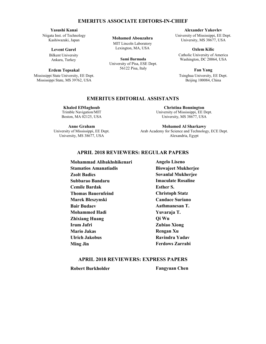#### **EMERITUS ASSOCIATE EDITORS-IN-CHIEF EMERITUS ASSOCIATE EDITORS-IN-CHIEF EMERITUS ASSOCIATE EDITORS-IN-CHIEF http://aces-society.org**  $\mathbf{L}$  $\mathbf{E}$ ivi  $E_N$ **Alexander Yakovlev**  $\blacksquare$

# Yasushi Kanai

Niigata Inst. of Technology Niigata Inst. of Technology Kashiwazaki, Japan Kashiwazaki, Japan **Levent Gurel Levent Gurel**  $\mathcal{L}$ 

# Levent Gurel

Bilkent University Bilkent University Ankara, Turkey

### Erdem Topsakal

Mississippi State University, EE Dept. Mississippi State, MS 39762, USA ASSOCIATE EDITORS-IN-CHIEF-IN-CHIEF-IN-CHIEF-IN-CHIEF-IN-CHIEF-IN-CHIEF-IN-CHIEF-IN-CHIEF-IN-CHIEF-IN-CHIEF-IN-<br>ASSOCIATE EDITORS-IN-CHIEF-IN-CHIEF-IN-CHIEF-IN-CHIEF-IN-CHIEF-IN-CHIEF-IN-CHIEF-IN-CHIEF-IN-CHIEF-IN-CHIEF-IN

**Mohamed Abouzahra**

Lexington, MA, USA **MIT Lincoln Laboratory** Golden, CO 80401, USA

Lexington, MA, USA **Alexander Yakovlev Sami Barmada** 56122 Pisa, Italy University of Pisa, ESE Dept.

**EMERITUS ASSOCIATE EDITORS-IN-CHIEF Alexander Yakovlev** University of Mississippi, EE Dept. versity of mississippi, ee D<br>University, MS 38677, USA  $\text{USA}$ 

catholic University,  $\frac{1}{2}$ 

**Ozlem Kilic** Catholic University of America Washington, DC 20064, USA

**Fan Yang** Tsinghua University, EE Dept. Beijing 100084, China University of North Dakota agraphy<br>O

### **EMERITUS EDITORIAL ASSISTANTS EMERITUS EDITORIAL ASSISTANTS**  $T<sub>0</sub>$

**Khaled ElMaghoub Khaled ElMaghoub Khaled ElMaghoub Alistair Duffy** Trimble Navigation/MIT Trimble Navigation/MIT Trimble Navigation/MIT Leicester, UK **Cemile Bardak** Boston, MA 02125, USA Boston, MA 02125, USA Boston, MA 02125, USA Khaled ElMaghoub III, **IVIA** UZIZJ, USA

**Anne Graham Anne Graham Anne Graham** Harbin Engineering University **Marek Bleszynski** University of Mississippi, EE Dept. University of Mississippi, EE Dept. University of Mississippi, EE Dept. Harbin 150001, China **Bair Budaev** University, MS 38677, USA University, MS 38677, USA University, MS 38677, USA **Sity, MS 38077, USA** 

**Christina Bonnington Christina Bonnington Christina Bonnington Paolo Mezzanotte University of Mississippi, EE Dept.** University, MS 38677, USA Colorado School of Mines, EE Dept. **Christina Bonnington** 

**Mohamed Al Sharkawy Mohamed Al Sharkawy Mohamed Al Sharkawy** Politecnico di Milano **Mauro Parise Mohammed Hadi Bair Budaev** Arab Academy for Science and Technology, ECE Dept. Alexandria, Egypt  $\mathcal{L}$ Academy for Science and T

### **APRIL 2018 REVIEWERS: REGULAR PAPERS APRIL 2018 REVIEWERS: REGULAR PAPERS APRIL 2018 REVIEWERS: REGULAR PAPERS** Puli, Nantou 54561, Taiwan **REGULAR PAPERS Ming Jin IRUM JATA REVIEWERS. RECHT AR PAPE**

**APRIL 2018 REVIEWERS: EXPRESS PAPERS APRIL 2018 REVIEWERS: EXPRESS PAPERS Amedeo Capozzoli Sovanlal Mukherjee Biswajeet Mukherjee EXECUTER ENGINEER ENGINEER STATE EDITORS Bauernfeind Executed Executes Esther S.** Trimble Navigation/MIT **EMERITUS ASSOCIATE EDITORS-IN-CHIEF** Nihon University **Bair Budaev Mohammed Hadi** Zhixiang Huang Irum Jafri **APRILLE APPRILLE ASSESS**<br> **PRILLIPS APPRILLE ASSESS**<br> **RAVIDLE APPRILLE ACTIONS ZARRADI APRILIP IN SUBSEX PAPERS**<br>**APRIL 2018 REVIEWERS ASSOCIATE:** Example 1 Amanatiadis **Example 2 Amanatiadis Example 2 Amanatiadis EXPRESS PARTS**  $Zsolt$  Badics **Subbarao Bandaru**  $\overline{\mathbf{u}}$ **Marek Bleszynski**  $T_{\text{NLOHWHM}}$  $\mathbf{a}$ adelphi Laboratory Center (RDRL-SER-M) **William O'Keefe Coburn** Iowa State University, ECE Dept. **Mohammad Alibakhshikenari Ulrich Jakobus Cemile Bardak Mario Jakas Qi Wu Ulrich Jakobus Zubiao Xiong Ming Jin Rengan Xu**

**Christoph Statz** Candace Suriano **Aathmanesan T. Mohamed Al Sharkawy Yuvaraja T. Aathmanesan T. Let Us and Technology Science and Technology, EQI Wu**  $\sum_{\alpha}$ ubiao Xiong **Imaculate Rosaline**  $\frac{1}{2}$ **Yu Mao Wu Candace Suriano** Tsinghua University, EE Dept. **Angelo Liseno Ming Jin Biswajeet Mukherjee Angelo Liseno Rengan Xu Zubiao Xiong Ravindra Yadav Rengan Xu**

#### **APRIL 2018 REVIEWERS: EXPRESS PAPERS**  $\mathbf{N}$   $\mathbf{N}$   $\mathbf{L}$   $\mathbf{L}$   $\mathbf{U}$   $\mathbf{U}$   $\mathbf{U}$   $\mathbf{U}$   $\mathbf{V}$   $\mathbf{H}$  $E(X)$  in Mines is  $\overline{E}(X)$ **Sovanlal Mukherjee Fangyuan Chen EXPRIL 2018 Robert Burkholder**

**Robert Burkholder** 

**Fangyuan Chen**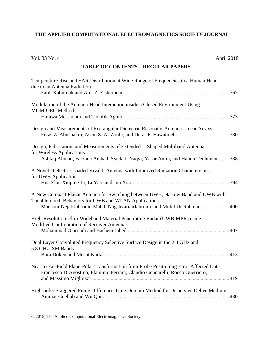# **THE APPLIED COMPUTATIONAL ELECTROMAGNETICS SOCIETY JOURNAL**

| Vol. 33 No. 4<br>April 2018                                                                                                                                                                                          |
|----------------------------------------------------------------------------------------------------------------------------------------------------------------------------------------------------------------------|
| <b>TABLE OF CONTENTS - REGULAR PAPERS</b>                                                                                                                                                                            |
| Temperature Rise and SAR Distribution at Wide Range of Frequencies in a Human Head<br>due to an Antenna Radiation                                                                                                    |
| Modulation of the Antenna-Head Interaction inside a Closed Environment Using<br><b>MOM-GEC Method</b>                                                                                                                |
| Design and Measurements of Rectangular Dielectric Resonator Antenna Linear Arrays                                                                                                                                    |
| Design, Fabrication, and Measurements of Extended L-Shaped Multiband Antenna<br>for Wireless Applications<br>Ashfaq Ahmad, Farzana Arshad, Syeda I. Naqvi, Yasar Amin, and Hannu Tenhunen 388                        |
| A Novel Dielectric Loaded Vivaldi Antenna with Improved Radiation Characteristics<br>for UWB Application                                                                                                             |
| A New Compact Planar Antenna for Switching between UWB, Narrow Band and UWB with<br>Tunable-notch Behaviors for UWB and WLAN Applications<br>Mansour NejatiJahromi, Mahdi NagshvarianJahromi, and MuhibUr Rahman 400 |
| High-Resolution Ultra-Wideband Material Penetrating Radar (UWB-MPR) using<br>Modified Configuration of Receiver Antennas                                                                                             |
| Dual Layer Convoluted Frequency Selective Surface Design in the 2.4 GHz and<br>5.8 GHz ISM Bands                                                                                                                     |
| Near to Far-Field Plane-Polar Transformation from Probe Positioning Error Affected Data<br>Francesco D'Agostino, Flaminio Ferrara, Claudio Gennarelli, Rocco Guerriero,                                              |
| High-order Staggered Finite Difference Time Domain Method for Dispersive Debye Medium                                                                                                                                |